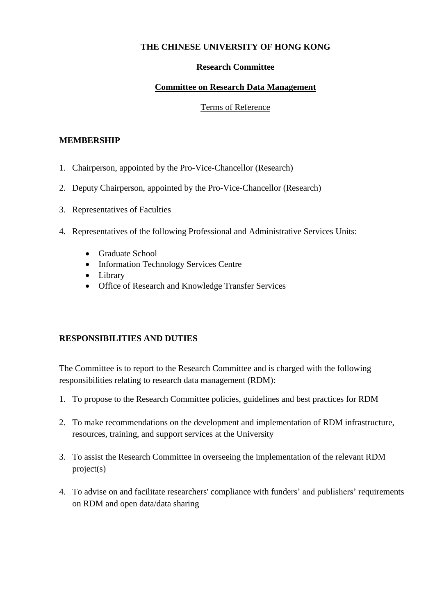### **THE CHINESE UNIVERSITY OF HONG KONG**

#### **Research Committee**

### **Committee on Research Data Management**

#### Terms of Reference

#### **MEMBERSHIP**

- 1. Chairperson, appointed by the Pro-Vice-Chancellor (Research)
- 2. Deputy Chairperson, appointed by the Pro-Vice-Chancellor (Research)
- 3. Representatives of Faculties
- 4. Representatives of the following Professional and Administrative Services Units:
	- Graduate School
	- Information Technology Services Centre
	- Library
	- Office of Research and Knowledge Transfer Services

## **RESPONSIBILITIES AND DUTIES**

The Committee is to report to the Research Committee and is charged with the following responsibilities relating to research data management (RDM):

- 1. To propose to the Research Committee policies, guidelines and best practices for RDM
- 2. To make recommendations on the development and implementation of RDM infrastructure, resources, training, and support services at the University
- 3. To assist the Research Committee in overseeing the implementation of the relevant RDM project(s)
- 4. To advise on and facilitate researchers' compliance with funders' and publishers' requirements on RDM and open data/data sharing